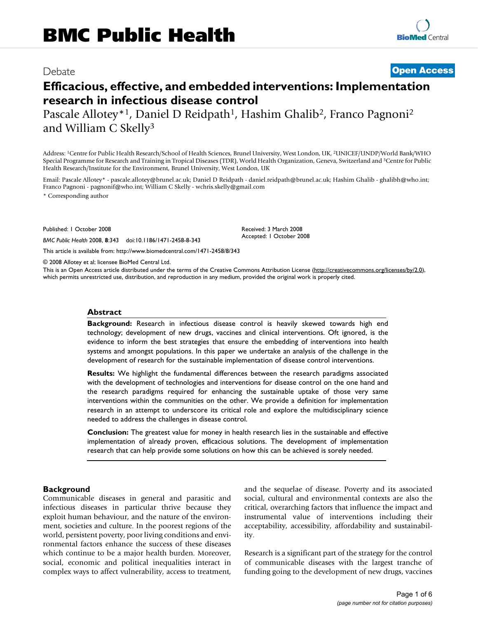## Debate **[Open Access](http://www.biomedcentral.com/info/about/charter/)**

# **Efficacious, effective, and embedded interventions: Implementation research in infectious disease control**

Pascale Allotey<sup>\*1</sup>, Daniel D Reidpath<sup>1</sup>, Hashim Ghalib<sup>2</sup>, Franco Pagnoni<sup>2</sup> and William C Skelly3

Address: 1Centre for Public Health Research/School of Health Sciences, Brunel University, West London, UK, 2UNICEF/UNDP/World Bank/WHO Special Programme for Research and Training in Tropical Diseases (TDR), World Health Organization, Geneva, Switzerland and 3Centre for Public Health Research/Institute for the Environment, Brunel University, West London, UK

Email: Pascale Allotey\* - pascale.allotey@brunel.ac.uk; Daniel D Reidpath - daniel.reidpath@brunel.ac.uk; Hashim Ghalib - ghalibh@who.int; Franco Pagnoni - pagnonif@who.int; William C Skelly - wchris.skelly@gmail.com

> Received: 3 March 2008 Accepted: 1 October 2008

\* Corresponding author

Published: 1 October 2008

*BMC Public Health* 2008, **8**:343 doi:10.1186/1471-2458-8-343

[This article is available from: http://www.biomedcentral.com/1471-2458/8/343](http://www.biomedcentral.com/1471-2458/8/343)

© 2008 Allotey et al; licensee BioMed Central Ltd.

This is an Open Access article distributed under the terms of the Creative Commons Attribution License [\(http://creativecommons.org/licenses/by/2.0\)](http://creativecommons.org/licenses/by/2.0), which permits unrestricted use, distribution, and reproduction in any medium, provided the original work is properly cited.

#### **Abstract**

**Background:** Research in infectious disease control is heavily skewed towards high end technology; development of new drugs, vaccines and clinical interventions. Oft ignored, is the evidence to inform the best strategies that ensure the embedding of interventions into health systems and amongst populations. In this paper we undertake an analysis of the challenge in the development of research for the sustainable implementation of disease control interventions.

**Results:** We highlight the fundamental differences between the research paradigms associated with the development of technologies and interventions for disease control on the one hand and the research paradigms required for enhancing the sustainable uptake of those very same interventions within the communities on the other. We provide a definition for implementation research in an attempt to underscore its critical role and explore the multidisciplinary science needed to address the challenges in disease control.

**Conclusion:** The greatest value for money in health research lies in the sustainable and effective implementation of already proven, efficacious solutions. The development of implementation research that can help provide some solutions on how this can be achieved is sorely needed.

#### **Background**

Communicable diseases in general and parasitic and infectious diseases in particular thrive because they exploit human behaviour, and the nature of the environment, societies and culture. In the poorest regions of the world, persistent poverty, poor living conditions and environmental factors enhance the success of these diseases which continue to be a major health burden. Moreover, social, economic and political inequalities interact in complex ways to affect vulnerability, access to treatment, and the sequelae of disease. Poverty and its associated social, cultural and environmental contexts are also the critical, overarching factors that influence the impact and instrumental value of interventions including their acceptability, accessibility, affordability and sustainability.

Research is a significant part of the strategy for the control of communicable diseases with the largest tranche of funding going to the development of new drugs, vaccines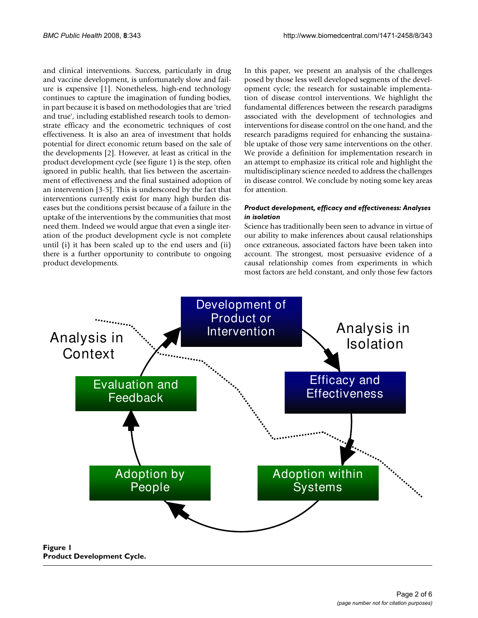and clinical interventions. Success, particularly in drug and vaccine development, is unfortunately slow and failure is expensive [1]. Nonetheless, high-end technology continues to capture the imagination of funding bodies, in part because it is based on methodologies that are 'tried and true', including established research tools to demonstrate efficacy and the econometric techniques of cost effectiveness. It is also an area of investment that holds potential for direct economic return based on the sale of the developments [2]. However, at least as critical in the product development cycle (see figure 1) is the step, often ignored in public health, that lies between the ascertainment of effectiveness and the final sustained adoption of an intervention [3-5]. This is underscored by the fact that interventions currently exist for many high burden diseases but the conditions persist because of a failure in the uptake of the interventions by the communities that most need them. Indeed we would argue that even a single iteration of the product development cycle is not complete until (i) it has been scaled up to the end users and (ii) there is a further opportunity to contribute to ongoing product developments.

In this paper, we present an analysis of the challenges posed by those less well developed segments of the development cycle; the research for sustainable implementation of disease control interventions. We highlight the fundamental differences between the research paradigms associated with the development of technologies and interventions for disease control on the one hand, and the research paradigms required for enhancing the sustainable uptake of those very same interventions on the other. We provide a definition for implementation research in an attempt to emphasize its critical role and highlight the multidisciplinary science needed to address the challenges in disease control. We conclude by noting some key areas for attention.

#### *Product development, efficacy and effectiveness: Analyses in isolation*

Science has traditionally been seen to advance in virtue of our ability to make inferences about causal relationships once extraneous, associated factors have been taken into account. The strongest, most persuasive evidence of a causal relationship comes from experiments in which most factors are held constant, and only those few factors

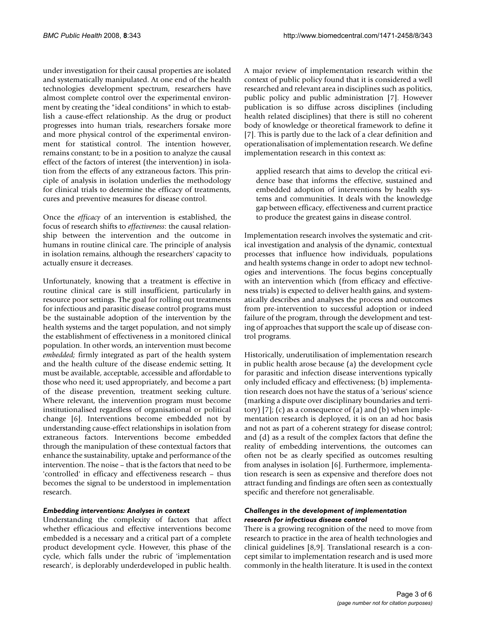under investigation for their causal properties are isolated and systematically manipulated. At one end of the health technologies development spectrum, researchers have almost complete control over the experimental environment by creating the "ideal conditions" in which to establish a cause-effect relationship. As the drug or product progresses into human trials, researchers forsake more and more physical control of the experimental environment for statistical control. The intention however, remains constant; to be in a position to analyze the causal effect of the factors of interest (the intervention) in isolation from the effects of any extraneous factors. This principle of analysis in isolation underlies the methodology for clinical trials to determine the efficacy of treatments, cures and preventive measures for disease control.

Once the *efficacy* of an intervention is established, the focus of research shifts to *effectiveness*: the causal relationship between the intervention and the outcome in humans in routine clinical care. The principle of analysis in isolation remains, although the researchers' capacity to actually ensure it decreases.

Unfortunately, knowing that a treatment is effective in routine clinical care is still insufficient, particularly in resource poor settings. The goal for rolling out treatments for infectious and parasitic disease control programs must be the sustainable adoption of the intervention by the health systems and the target population, and not simply the establishment of effectiveness in a monitored clinical population. In other words, an intervention must become *embedded;* firmly integrated as part of the health system and the health culture of the disease endemic setting. It must be available, acceptable, accessible and affordable to those who need it; used appropriately, and become a part of the disease prevention, treatment seeking culture. Where relevant, the intervention program must become institutionalised regardless of organisational or political change [6]. Interventions become embedded not by understanding cause-effect relationships in isolation from extraneous factors. Interventions become embedded through the manipulation of these contextual factors that enhance the sustainability, uptake and performance of the intervention. The noise – that is the factors that need to be 'controlled' in efficacy and effectiveness research – thus becomes the signal to be understood in implementation research.

#### *Embedding interventions: Analyses in context*

Understanding the complexity of factors that affect whether efficacious and effective interventions become embedded is a necessary and a critical part of a complete product development cycle. However, this phase of the cycle, which falls under the rubric of 'implementation research', is deplorably underdeveloped in public health.

A major review of implementation research within the context of public policy found that it is considered a well researched and relevant area in disciplines such as politics, public policy and public administration [7]. However publication is so diffuse across disciplines (including health related disciplines) that there is still no coherent body of knowledge or theoretical framework to define it [7]. This is partly due to the lack of a clear definition and operationalisation of implementation research. We define implementation research in this context as:

applied research that aims to develop the critical evidence base that informs the effective, sustained and embedded adoption of interventions by health systems and communities. It deals with the knowledge gap between efficacy, effectiveness and current practice to produce the greatest gains in disease control.

Implementation research involves the systematic and critical investigation and analysis of the dynamic, contextual processes that influence how individuals, populations and health systems change in order to adopt new technologies and interventions. The focus begins conceptually with an intervention which (from efficacy and effectiveness trials) is expected to deliver health gains, and systematically describes and analyses the process and outcomes from pre-intervention to successful adoption or indeed failure of the program, through the development and testing of approaches that support the scale up of disease control programs.

Historically, underutilisation of implementation research in public health arose because (a) the development cycle for parasitic and infection disease interventions typically only included efficacy and effectiveness; (b) implementation research does not have the status of a 'serious' science (marking a dispute over disciplinary boundaries and territory)  $[7]$ ; (c) as a consequence of (a) and (b) when implementation research is deployed, it is on an ad hoc basis and not as part of a coherent strategy for disease control; and (d) as a result of the complex factors that define the reality of embedding interventions, the outcomes can often not be as clearly specified as outcomes resulting from analyses in isolation [6]. Furthermore, implementation research is seen as expensive and therefore does not attract funding and findings are often seen as contextually specific and therefore not generalisable.

#### *Challenges in the development of implementation research for infectious disease control*

There is a growing recognition of the need to move from research to practice in the area of health technologies and clinical guidelines [8,9]. Translational research is a concept similar to implementation research and is used more commonly in the health literature. It is used in the context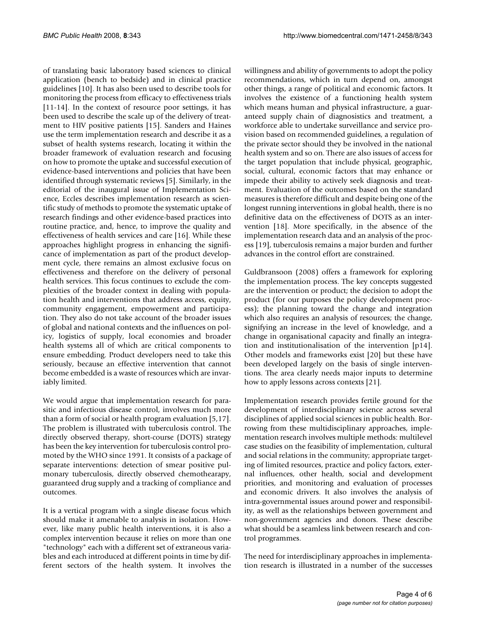of translating basic laboratory based sciences to clinical application (bench to bedside) and in clinical practice guidelines [10]. It has also been used to describe tools for monitoring the process from efficacy to effectiveness trials [11-14]. In the context of resource poor settings, it has been used to describe the scale up of the delivery of treatment to HIV positive patients [15]. Sanders and Haines use the term implementation research and describe it as a subset of health systems research, locating it within the broader framework of evaluation research and focusing on how to promote the uptake and successful execution of evidence-based interventions and policies that have been identified through systematic reviews [5]. Similarly, in the editorial of the inaugural issue of Implementation Science, Eccles describes implementation research as scientific study of methods to promote the systematic uptake of research findings and other evidence-based practices into routine practice, and, hence, to improve the quality and effectiveness of health services and care [16]. While these approaches highlight progress in enhancing the significance of implementation as part of the product development cycle, there remains an almost exclusive focus on effectiveness and therefore on the delivery of personal health services. This focus continues to exclude the complexities of the broader context in dealing with population health and interventions that address access, equity, community engagement, empowerment and participation. They also do not take account of the broader issues of global and national contexts and the influences on policy, logistics of supply, local economies and broader health systems all of which are critical components to ensure embedding. Product developers need to take this seriously, because an effective intervention that cannot become embedded is a waste of resources which are invariably limited.

We would argue that implementation research for parasitic and infectious disease control, involves much more than a form of social or health program evaluation [5,17]. The problem is illustrated with tuberculosis control. The directly observed therapy, short-course (DOTS) strategy has been the key intervention for tuberculosis control promoted by the WHO since 1991. It consists of a package of separate interventions: detection of smear positive pulmonary tuberculosis, directly observed chemothearapy, guaranteed drug supply and a tracking of compliance and outcomes.

It is a vertical program with a single disease focus which should make it amenable to analysis in isolation. However, like many public health interventions, it is also a complex intervention because it relies on more than one "technology" each with a different set of extraneous variables and each introduced at different points in time by different sectors of the health system. It involves the willingness and ability of governments to adopt the policy recommendations, which in turn depend on, amongst other things, a range of political and economic factors. It involves the existence of a functioning health system which means human and physical infrastructure, a guaranteed supply chain of diagnosistics and treatment, a workforce able to undertake surveillance and service provision based on recommended guidelines, a regulation of the private sector should they be involved in the national health system and so on. There are also issues of access for the target population that include physical, geographic, social, cultural, economic factors that may enhance or impede their ability to actively seek diagnosis and treatment. Evaluation of the outcomes based on the standard measures is therefore difficult and despite being one of the longest running interventions in global health, there is no definitive data on the effectiveness of DOTS as an intervention [18]. More specifically, in the absence of the implementation research data and an analysis of the process [19], tuberculosis remains a major burden and further advances in the control effort are constrained.

Guldbransoon (2008) offers a framework for exploring the implementation process. The key concepts suggested are the intervention or product; the decision to adopt the product (for our purposes the policy development process); the planning toward the change and integration which also requires an analysis of resources; the change, signifying an increase in the level of knowledge, and a change in organisational capacity and finally an integration and institutionalisation of the intervention [p14]. Other models and frameworks exist [20] but these have been developed largely on the basis of single interventions. The area clearly needs major inputs to determine how to apply lessons across contexts [21].

Implementation research provides fertile ground for the development of interdisciplinary science across several disciplines of applied social sciences in public health. Borrowing from these multidisciplinary approaches, implementation research involves multiple methods: multilevel case studies on the feasibility of implementation, cultural and social relations in the community; appropriate targeting of limited resources, practice and policy factors, external influences, other health, social and development priorities, and monitoring and evaluation of processes and economic drivers. It also involves the analysis of intra-governmental issues around power and responsibility, as well as the relationships between government and non-government agencies and donors. These describe what should be a seamless link between research and control programmes.

The need for interdisciplinary approaches in implementation research is illustrated in a number of the successes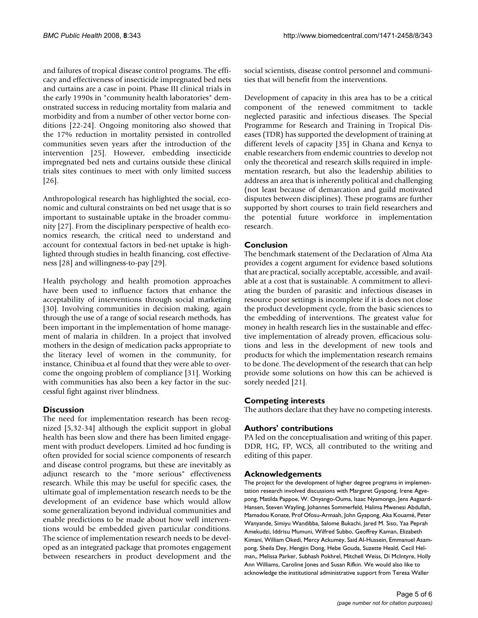and failures of tropical disease control programs. The efficacy and effectiveness of insecticide impregnated bed nets and curtains are a case in point. Phase III clinical trials in the early 1990s in "community health laboratories" demonstrated success in reducing mortality from malaria and morbidity and from a number of other vector borne conditions [22-24]. Ongoing monitoring also showed that the 17% reduction in mortality persisted in controlled communities seven years after the introduction of the intervention [25]. However, embedding insecticide impregnated bed nets and curtains outside these clinical trials sites continues to meet with only limited success [26].

Anthropological research has highlighted the social, economic and cultural constraints on bed net usage that is so important to sustainable uptake in the broader community [27]. From the disciplinary perspective of health economics research, the critical need to understand and account for contextual factors in bed-net uptake is highlighted through studies in health financing, cost effectiveness [28] and willingness-to-pay [29].

Health psychology and health promotion approaches have been used to influence factors that enhance the acceptability of interventions through social marketing [30]. Involving communities in decision making, again through the use of a range of social research methods, has been important in the implementation of home management of malaria in children. In a project that involved mothers in the design of medication packs appropriate to the literacy level of women in the community, for instance, Chinibua et al found that they were able to overcome the ongoing problem of compliance [31]. Working with communities has also been a key factor in the successful fight against river blindness.

#### **Discussion**

The need for implementation research has been recognized [5,32-34] although the explicit support in global health has been slow and there has been limited engagement with product developers. Limited ad hoc funding is often provided for social science components of research and disease control programs, but these are inevitably as adjunct research to the "more serious" effectiveness research. While this may be useful for specific cases, the ultimate goal of implementation research needs to be the development of an evidence base which would allow some generalization beyond individual communities and enable predictions to be made about how well interventions would be embedded given particular conditions. The science of implementation research needs to be developed as an integrated package that promotes engagement between researchers in product development and the social scientists, disease control personnel and communities that will benefit from the interventions.

Development of capacity in this area has to be a critical component of the renewed commitment to tackle neglected parasitic and infectious diseases. The Special Programme for Research and Training in Tropical Diseases (TDR) has supported the development of training at different levels of capacity [35] in Ghana and Kenya to enable researchers from endemic countries to develop not only the theoretical and research skills required in implementation research, but also the leadership abilities to address an area that is inherently political and challenging (not least because of demarcation and guild motivated disputes between disciplines). These programs are further supported by short courses to train field researchers and the potential future workforce in implementation research.

#### **Conclusion**

The benchmark statement of the Declaration of Alma Ata provides a cogent argument for evidence based solutions that are practical, socially acceptable, accessible, and available at a cost that is sustainable. A commitment to alleviating the burden of parasitic and infectious diseases in resource poor settings is incomplete if it is does not close the product development cycle, from the basic sciences to the embedding of interventions. The greatest value for money in health research lies in the sustainable and effective implementation of already proven, efficacious solutions and less in the development of new tools and products for which the implementation research remains to be done. The development of the research that can help provide some solutions on how this can be achieved is sorely needed [21].

#### **Competing interests**

The authors declare that they have no competing interests.

### **Authors' contributions**

PA led on the conceptualisation and writing of this paper. DDR, HG, FP, WCS, all contributed to the writing and editing of this paper.

#### **Acknowledgements**

The project for the development of higher degree programs in implementation research involved discussions with Margaret Gyapong, Irene Agyepong, Matilda Pappoe, W. Onyango-Ouma, Isaac Nyamongo, Jens Aagaard-Hansen, Steven Wayling, Johannes Sommerfeld, Halima Mwenesi Abdullah, Mamadou Konate, Prof Ofosu-Armaah, John Gyapong, Aka Kouamé, Peter Wanyande, Simiyu Wandibba, Salome Bukachi, Jared M. Siso, Yaa Peprah Amekudzi, Iddrisu Mumuni, Wilfred Subbo, Geoffrey Kaman, Elizabeth Kimani, William Okedi, Mercy Ackumey, Said Al-Hussein, Emmanuel Asampong, Sheila Dey, Hengjin Dong, Hebe Gouda, Suzette Heald, Cecil Helman,, Melissa Parker, Subhash Pokhrel, Mitchell Weiss, Di McIntyre, Holly Ann Williams, Caroline Jones and Susan Rifkin. We would also like to acknowledge the institutional administrative support from Teresa Waller